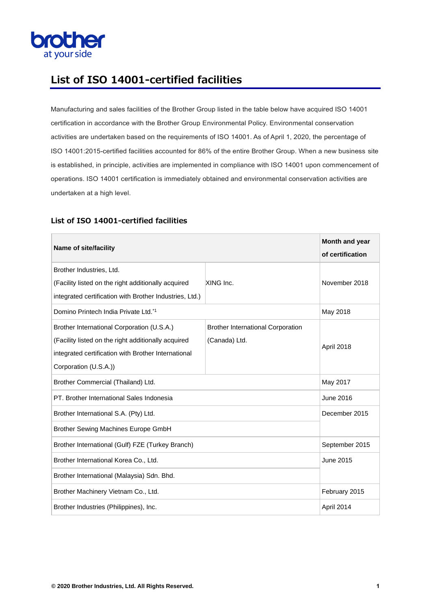

#### **List of ISO 14001-certified facilities**

Manufacturing and sales facilities of the Brother Group listed in the table below have acquired ISO 14001 certification in accordance with the Brother Group Environmental Policy. Environmental conservation activities are undertaken based on the requirements of ISO 14001. As of April 1, 2020, the percentage of ISO 14001:2015-certified facilities accounted for 86% of the entire Brother Group. When a new business site is established, in principle, activities are implemented in compliance with ISO 14001 upon commencement of operations. ISO 14001 certification is immediately obtained and environmental conservation activities are undertaken at a high level.

| Name of site/facility                                                                                                                                                             |                                                           | Month and year<br>of certification |
|-----------------------------------------------------------------------------------------------------------------------------------------------------------------------------------|-----------------------------------------------------------|------------------------------------|
| Brother Industries, Ltd.<br>(Facility listed on the right additionally acquired<br>integrated certification with Brother Industries, Ltd.)                                        | XING Inc.                                                 | November 2018                      |
| Domino Printech India Private Ltd.*1                                                                                                                                              |                                                           | May 2018                           |
| Brother International Corporation (U.S.A.)<br>(Facility listed on the right additionally acquired<br>integrated certification with Brother International<br>Corporation (U.S.A.)) | <b>Brother International Corporation</b><br>(Canada) Ltd. | April 2018                         |
| Brother Commercial (Thailand) Ltd.                                                                                                                                                |                                                           | May 2017                           |
| PT. Brother International Sales Indonesia                                                                                                                                         |                                                           | June 2016                          |
| Brother International S.A. (Pty) Ltd.                                                                                                                                             |                                                           | December 2015                      |
| <b>Brother Sewing Machines Europe GmbH</b>                                                                                                                                        |                                                           |                                    |
| Brother International (Gulf) FZE (Turkey Branch)                                                                                                                                  |                                                           | September 2015                     |
| Brother International Korea Co., Ltd.                                                                                                                                             |                                                           | <b>June 2015</b>                   |
| Brother International (Malaysia) Sdn. Bhd.                                                                                                                                        |                                                           |                                    |
| Brother Machinery Vietnam Co., Ltd.                                                                                                                                               |                                                           | February 2015                      |
| Brother Industries (Philippines), Inc.                                                                                                                                            |                                                           | April 2014                         |

#### **List of ISO 14001-certified facilities**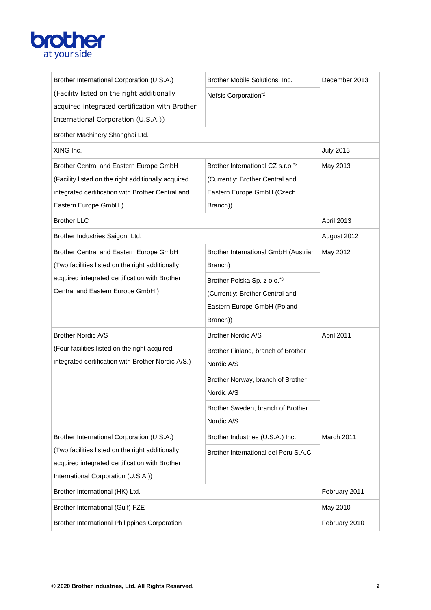# **brother**

| Brother International Corporation (U.S.A.)           | Brother Mobile Solutions, Inc.          | December 2013    |
|------------------------------------------------------|-----------------------------------------|------------------|
| (Facility listed on the right additionally           | Nefsis Corporation*2                    |                  |
| acquired integrated certification with Brother       |                                         |                  |
| International Corporation (U.S.A.))                  |                                         |                  |
| Brother Machinery Shanghai Ltd.                      |                                         |                  |
| XING Inc.                                            |                                         | <b>July 2013</b> |
| Brother Central and Eastern Europe GmbH              | Brother International CZ s.r.o.*3       | May 2013         |
| (Facility listed on the right additionally acquired  | (Currently: Brother Central and         |                  |
| integrated certification with Brother Central and    | Eastern Europe GmbH (Czech              |                  |
| Eastern Europe GmbH.)                                | Branch))                                |                  |
| <b>Brother LLC</b>                                   |                                         | April 2013       |
| Brother Industries Saigon, Ltd.                      |                                         | August 2012      |
| Brother Central and Eastern Europe GmbH              | Brother International GmbH (Austrian    | May 2012         |
| (Two facilities listed on the right additionally     | Branch)                                 |                  |
| acquired integrated certification with Brother       | Brother Polska Sp. z o.o. <sup>*3</sup> |                  |
| Central and Eastern Europe GmbH.)                    | (Currently: Brother Central and         |                  |
|                                                      | Eastern Europe GmbH (Poland             |                  |
|                                                      | Branch))                                |                  |
| <b>Brother Nordic A/S</b>                            | <b>Brother Nordic A/S</b>               | April 2011       |
| (Four facilities listed on the right acquired        | Brother Finland, branch of Brother      |                  |
| integrated certification with Brother Nordic A/S.)   | Nordic A/S                              |                  |
|                                                      | Brother Norway, branch of Brother       |                  |
|                                                      | Nordic A/S                              |                  |
|                                                      | Brother Sweden, branch of Brother       |                  |
|                                                      | Nordic A/S                              |                  |
| Brother International Corporation (U.S.A.)           | Brother Industries (U.S.A.) Inc.        | March 2011       |
| (Two facilities listed on the right additionally     | Brother International del Peru S.A.C.   |                  |
| acquired integrated certification with Brother       |                                         |                  |
| International Corporation (U.S.A.))                  |                                         |                  |
| Brother International (HK) Ltd.                      |                                         | February 2011    |
| Brother International (Gulf) FZE                     |                                         | May 2010         |
| <b>Brother International Philippines Corporation</b> |                                         | February 2010    |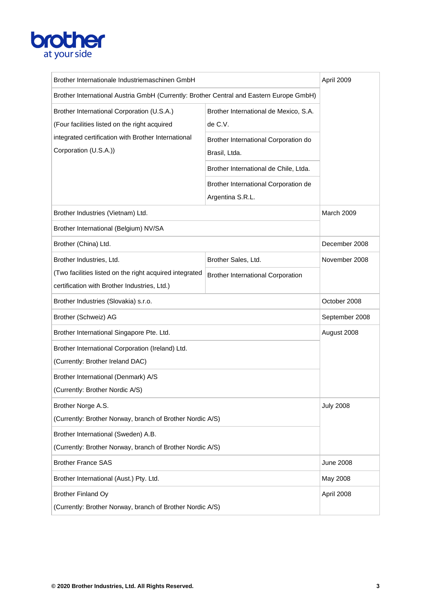

| Brother Internationale Industriemaschinen GmbH                                              |                                                          | April 2009       |
|---------------------------------------------------------------------------------------------|----------------------------------------------------------|------------------|
| Brother International Austria GmbH (Currently: Brother Central and Eastern Europe GmbH)     |                                                          |                  |
| Brother International Corporation (U.S.A.)<br>(Four facilities listed on the right acquired | Brother International de Mexico, S.A.<br>de C.V.         |                  |
| integrated certification with Brother International                                         | Brother International Corporation do                     |                  |
| Corporation (U.S.A.))                                                                       | Brasil, Ltda.                                            |                  |
|                                                                                             | Brother International de Chile, Ltda.                    |                  |
|                                                                                             |                                                          |                  |
|                                                                                             | Brother International Corporation de<br>Argentina S.R.L. |                  |
| Brother Industries (Vietnam) Ltd.                                                           |                                                          | March 2009       |
| Brother International (Belgium) NV/SA                                                       |                                                          |                  |
| Brother (China) Ltd.                                                                        |                                                          | December 2008    |
| Brother Industries, Ltd.                                                                    | Brother Sales, Ltd.                                      | November 2008    |
| (Two facilities listed on the right acquired integrated                                     | <b>Brother International Corporation</b>                 |                  |
| certification with Brother Industries, Ltd.)                                                |                                                          |                  |
| Brother Industries (Slovakia) s.r.o.                                                        |                                                          | October 2008     |
| Brother (Schweiz) AG                                                                        |                                                          | September 2008   |
| Brother International Singapore Pte. Ltd.                                                   |                                                          | August 2008      |
| Brother International Corporation (Ireland) Ltd.                                            |                                                          |                  |
| (Currently: Brother Ireland DAC)                                                            |                                                          |                  |
| Brother International (Denmark) A/S                                                         |                                                          |                  |
| (Currently: Brother Nordic A/S)                                                             |                                                          |                  |
| Brother Norge A.S.                                                                          |                                                          | <b>July 2008</b> |
| (Currently: Brother Norway, branch of Brother Nordic A/S)                                   |                                                          |                  |
| Brother International (Sweden) A.B.                                                         |                                                          |                  |
| (Currently: Brother Norway, branch of Brother Nordic A/S)                                   |                                                          |                  |
| <b>Brother France SAS</b>                                                                   |                                                          | <b>June 2008</b> |
| Brother International (Aust.) Pty. Ltd.                                                     |                                                          | May 2008         |
| <b>Brother Finland Oy</b>                                                                   |                                                          | April 2008       |
| (Currently: Brother Norway, branch of Brother Nordic A/S)                                   |                                                          |                  |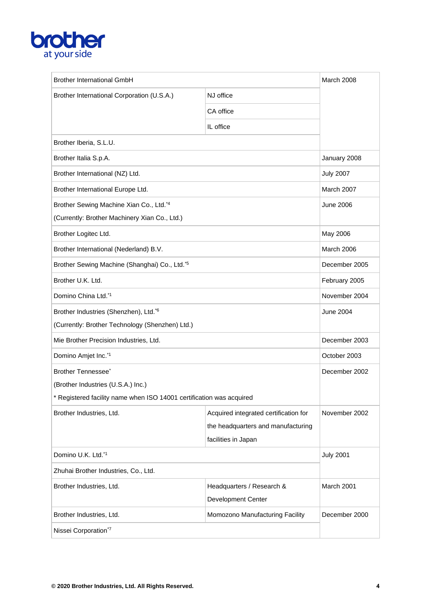## **brother**

| <b>Brother International GmbH</b>                                    |                                       | March 2008       |
|----------------------------------------------------------------------|---------------------------------------|------------------|
| Brother International Corporation (U.S.A.)                           | NJ office                             |                  |
|                                                                      | CA office                             |                  |
|                                                                      | IL office                             |                  |
| Brother Iberia, S.L.U.                                               |                                       |                  |
| Brother Italia S.p.A.                                                |                                       | January 2008     |
| Brother International (NZ) Ltd.                                      |                                       | <b>July 2007</b> |
| Brother International Europe Ltd.                                    |                                       | March 2007       |
| Brother Sewing Machine Xian Co., Ltd.*4                              |                                       | <b>June 2006</b> |
| (Currently: Brother Machinery Xian Co., Ltd.)                        |                                       |                  |
| Brother Logitec Ltd.                                                 |                                       | May 2006         |
| Brother International (Nederland) B.V.                               |                                       | March 2006       |
| Brother Sewing Machine (Shanghai) Co., Ltd.*5                        |                                       | December 2005    |
| Brother U.K. Ltd.                                                    |                                       | February 2005    |
| Domino China Ltd.*1                                                  |                                       | November 2004    |
| Brother Industries (Shenzhen), Ltd. <sup>*6</sup>                    |                                       | <b>June 2004</b> |
| (Currently: Brother Technology (Shenzhen) Ltd.)                      |                                       |                  |
| Mie Brother Precision Industries, Ltd.                               |                                       | December 2003    |
| Domino Amjet Inc.*1                                                  |                                       | October 2003     |
| Brother Tennessee <sup>*</sup>                                       |                                       | December 2002    |
| (Brother Industries (U.S.A.) Inc.)                                   |                                       |                  |
| * Registered facility name when ISO 14001 certification was acquired |                                       |                  |
| Brother Industries, Ltd.                                             | Acquired integrated certification for | November 2002    |
|                                                                      | the headquarters and manufacturing    |                  |
|                                                                      | facilities in Japan                   |                  |
| Domino U.K. Ltd.*1                                                   |                                       | <b>July 2001</b> |
| Zhuhai Brother Industries, Co., Ltd.                                 |                                       |                  |
| Brother Industries, Ltd.                                             | Headquarters / Research &             | March 2001       |
|                                                                      | <b>Development Center</b>             |                  |
| Brother Industries, Ltd.                                             | Momozono Manufacturing Facility       | December 2000    |
| Nissei Corporation*7                                                 |                                       |                  |